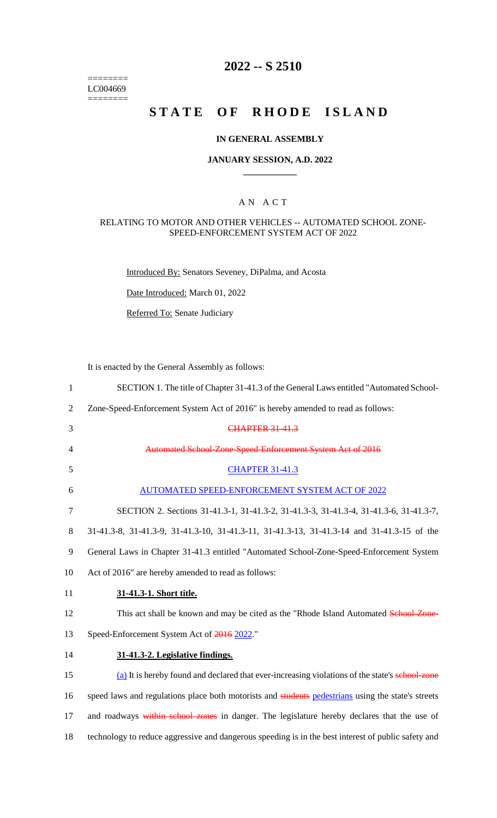======== LC004669  $=$ 

# **2022 -- S 2510**

# **STATE OF RHODE ISLAND**

# **IN GENERAL ASSEMBLY**

#### **JANUARY SESSION, A.D. 2022 \_\_\_\_\_\_\_\_\_\_\_\_**

## A N A C T

## RELATING TO MOTOR AND OTHER VEHICLES -- AUTOMATED SCHOOL ZONE-SPEED-ENFORCEMENT SYSTEM ACT OF 2022

Introduced By: Senators Seveney, DiPalma, and Acosta

Date Introduced: March 01, 2022

Referred To: Senate Judiciary

It is enacted by the General Assembly as follows:

| $\mathbf{1}$   | SECTION 1. The title of Chapter 31-41.3 of the General Laws entitled "Automated School-             |
|----------------|-----------------------------------------------------------------------------------------------------|
| $\overline{2}$ | Zone-Speed-Enforcement System Act of 2016" is hereby amended to read as follows:                    |
| 3              | <b>CHAPTER 31-41.3</b>                                                                              |
| 4              | Automated School-Zone-Speed-Enforcement System Act of 2016                                          |
| 5              | <b>CHAPTER 31-41.3</b>                                                                              |
| 6              | AUTOMATED SPEED-ENFORCEMENT SYSTEM ACT OF 2022                                                      |
| $\tau$         | SECTION 2. Sections 31-41.3-1, 31-41.3-2, 31-41.3-3, 31-41.3-4, 31-41.3-6, 31-41.3-7,               |
| 8              | 31-41.3-8, 31-41.3-9, 31-41.3-10, 31-41.3-11, 31-41.3-13, 31-41.3-14 and 31-41.3-15 of the          |
| 9              | General Laws in Chapter 31-41.3 entitled "Automated School-Zone-Speed-Enforcement System            |
| 10             | Act of 2016" are hereby amended to read as follows:                                                 |
| 11             | 31-41.3-1. Short title.                                                                             |
| 12             | This act shall be known and may be cited as the "Rhode Island Automated School-Zone-                |
| 13             | Speed-Enforcement System Act of 2016 2022."                                                         |
| 14             | 31-41.3-2. Legislative findings.                                                                    |
| 15             | (a) It is hereby found and declared that ever-increasing violations of the state's school-zone      |
| 16             | speed laws and regulations place both motorists and students pedestrians using the state's streets  |
| 17             | and roadways within school zones in danger. The legislature hereby declares that the use of         |
| 18             | technology to reduce aggressive and dangerous speeding is in the best interest of public safety and |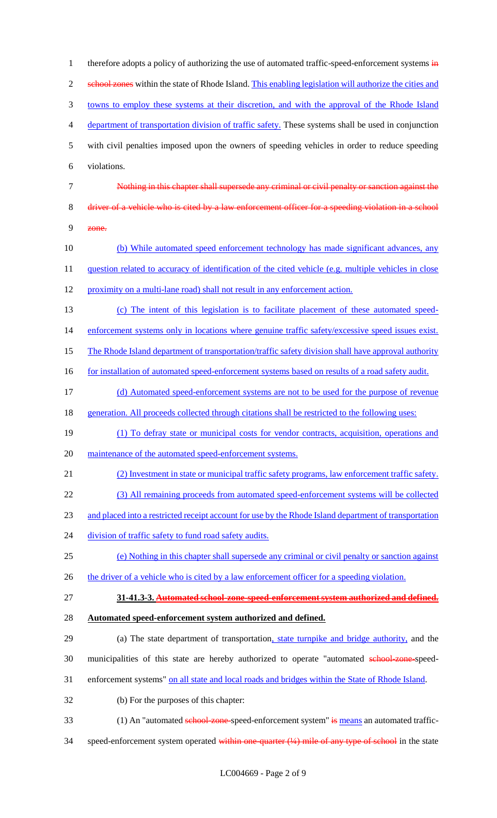1 therefore adopts a policy of authorizing the use of automated traffic-speed-enforcement systems in 2 school zones within the state of Rhode Island. This enabling legislation will authorize the cities and 3 towns to employ these systems at their discretion, and with the approval of the Rhode Island 4 department of transportation division of traffic safety. These systems shall be used in conjunction 5 with civil penalties imposed upon the owners of speeding vehicles in order to reduce speeding 6 violations. 7 Nothing in this chapter shall supersede any criminal or civil penalty or sanction against the 8 driver of a vehicle who is cited by a law enforcement officer for a speeding violation in a school 9 zone. 10 (b) While automated speed enforcement technology has made significant advances, any 11 question related to accuracy of identification of the cited vehicle (e.g. multiple vehicles in close 12 proximity on a multi-lane road) shall not result in any enforcement action. 13 (c) The intent of this legislation is to facilitate placement of these automated speed-14 enforcement systems only in locations where genuine traffic safety/excessive speed issues exist. 15 The Rhode Island department of transportation/traffic safety division shall have approval authority 16 for installation of automated speed-enforcement systems based on results of a road safety audit. 17 (d) Automated speed-enforcement systems are not to be used for the purpose of revenue 18 generation. All proceeds collected through citations shall be restricted to the following uses: 19 (1) To defray state or municipal costs for vendor contracts, acquisition, operations and 20 maintenance of the automated speed-enforcement systems. 21 (2) Investment in state or municipal traffic safety programs, law enforcement traffic safety. 22 (3) All remaining proceeds from automated speed-enforcement systems will be collected 23 and placed into a restricted receipt account for use by the Rhode Island department of transportation 24 division of traffic safety to fund road safety audits. 25 (e) Nothing in this chapter shall supersede any criminal or civil penalty or sanction against 26 the driver of a vehicle who is cited by a law enforcement officer for a speeding violation. 27 **31-41.3-3. Automated school-zone-speed-enforcement system authorized and defined.** 28 **Automated speed-enforcement system authorized and defined.** 29 (a) The state department of transportation, state turnpike and bridge authority, and the 30 municipalities of this state are hereby authorized to operate "automated school-zone-speed-31 enforcement systems" on all state and local roads and bridges within the State of Rhode Island. 32 (b) For the purposes of this chapter: 33 (1) An "automated school-zone-speed-enforcement system" is means an automated traffic-34 speed-enforcement system operated within one-quarter (¼) mile of any type of school in the state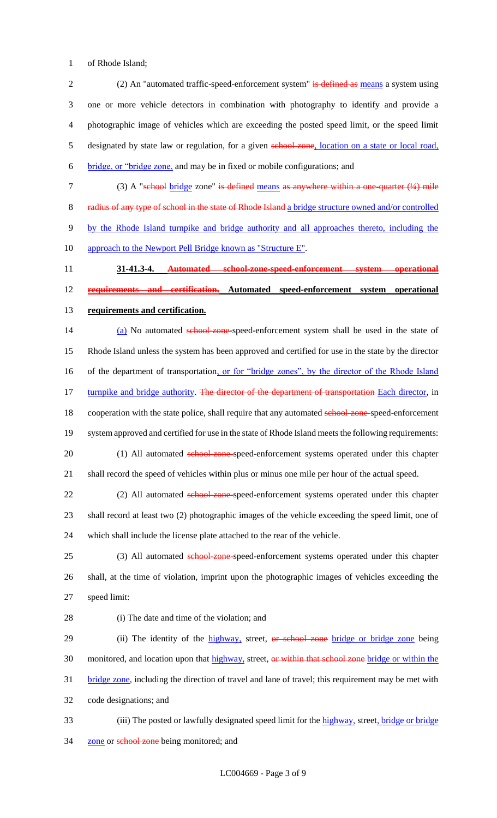1 of Rhode Island;

2 (2) An "automated traffic-speed-enforcement system" is defined as means a system using 3 one or more vehicle detectors in combination with photography to identify and provide a 4 photographic image of vehicles which are exceeding the posted speed limit, or the speed limit 5 designated by state law or regulation, for a given school zone, location on a state or local road, 6 bridge, or "bridge zone, and may be in fixed or mobile configurations; and

7 (3) A "school bridge zone" is defined means as anywhere within a one-quarter (1/4) mile

8 radius of any type of school in the state of Rhode Island a bridge structure owned and/or controlled 9 by the Rhode Island turnpike and bridge authority and all approaches thereto, including the 10 approach to the Newport Pell Bridge known as "Structure E".

11 **31-41.3-4. Automated school-zone-speed-enforcement system operational**  12 **requirements and certification. Automated speed-enforcement system operational**  13 **requirements and certification.**

14 (a) No automated school-zone-speed-enforcement system shall be used in the state of 15 Rhode Island unless the system has been approved and certified for use in the state by the director 16 of the department of transportation, or for "bridge zones", by the director of the Rhode Island 17 turnpike and bridge authority. The director of the department of transportation Each director, in 18 cooperation with the state police, shall require that any automated school-zone-speed-enforcement 19 system approved and certified for use in the state of Rhode Island meets the following requirements: 20 (1) All automated school-zone-speed-enforcement systems operated under this chapter

21 shall record the speed of vehicles within plus or minus one mile per hour of the actual speed.

22 (2) All automated school-zone-speed-enforcement systems operated under this chapter 23 shall record at least two (2) photographic images of the vehicle exceeding the speed limit, one of 24 which shall include the license plate attached to the rear of the vehicle.

25 (3) All automated school-zone-speed-enforcement systems operated under this chapter 26 shall, at the time of violation, imprint upon the photographic images of vehicles exceeding the 27 speed limit:

28 (i) The date and time of the violation; and

29 (ii) The identity of the highway, street, or school zone bridge or bridge zone being 30 monitored, and location upon that highway, street, or within that school zone bridge or within the 31 bridge zone, including the direction of travel and lane of travel; this requirement may be met with 32 code designations; and

33 (iii) The posted or lawfully designated speed limit for the highway, street, bridge or bridge 34 zone or school zone being monitored; and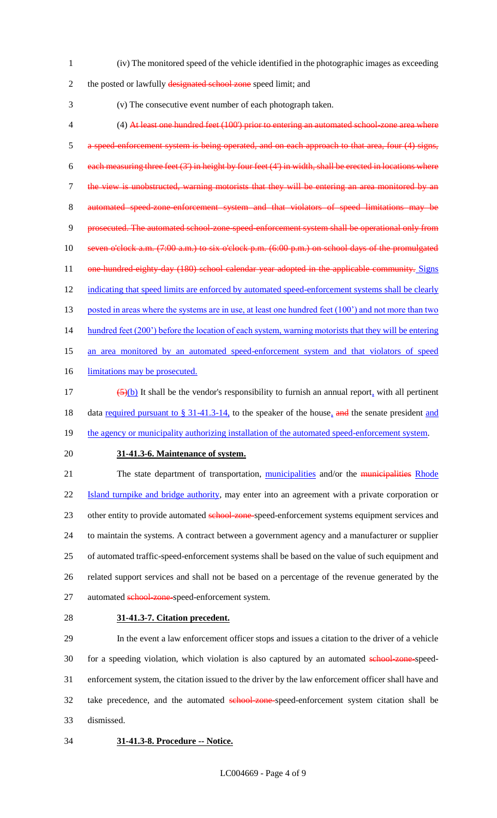1 (iv) The monitored speed of the vehicle identified in the photographic images as exceeding

2 the posted or lawfully designated school zone speed limit; and

3 (v) The consecutive event number of each photograph taken.

4 (4) At least one hundred feet (100') prior to entering an automated school-zone area where 5 a speed-enforcement system is being operated, and on each approach to that area, four (4) signs, 6 each measuring three feet  $(3')$  in height by four feet  $(4')$  in width, shall be erected in locations where 7 the view is unobstructed, warning motorists that they will be entering an area monitored by an 8 automated speed-zone-enforcement system and that violators of speed limitations may 9 prosecuted. The automated school-zone-speed-enforcement system shall be operational only from 10 seven o'clock a.m. (7:00 a.m.) to six o'clock p.m. (6:00 p.m.) on school days of the promulgated 11 one-hundred-eighty-day (180) school calendar year adopted in the applicable community. Signs 12 indicating that speed limits are enforced by automated speed-enforcement systems shall be clearly 13 posted in areas where the systems are in use, at least one hundred feet (100') and not more than two 14 hundred feet (200') before the location of each system, warning motorists that they will be entering 15 an area monitored by an automated speed-enforcement system and that violators of speed 16 limitations may be prosecuted.

17  $\left(\frac{5}{b}\right)$  It shall be the vendor's responsibility to furnish an annual report, with all pertinent 18 data required pursuant to § 31-41.3-14, to the speaker of the house, and the senate president and

- 19 the agency or municipality authorizing installation of the automated speed-enforcement system.
- 

#### 20 **31-41.3-6. Maintenance of system.**

21 The state department of transportation, municipalities and/or the municipalities Rhode 22 Island turnpike and bridge authority, may enter into an agreement with a private corporation or 23 other entity to provide automated school-zone-speed-enforcement systems equipment services and 24 to maintain the systems. A contract between a government agency and a manufacturer or supplier 25 of automated traffic-speed-enforcement systems shall be based on the value of such equipment and 26 related support services and shall not be based on a percentage of the revenue generated by the 27 automated school-zone-speed-enforcement system.

## 28 **31-41.3-7. Citation precedent.**

29 In the event a law enforcement officer stops and issues a citation to the driver of a vehicle 30 for a speeding violation, which violation is also captured by an automated school-zone-speed-31 enforcement system, the citation issued to the driver by the law enforcement officer shall have and 32 take precedence, and the automated school-zone-speed-enforcement system citation shall be 33 dismissed.

#### 34 **31-41.3-8. Procedure -- Notice.**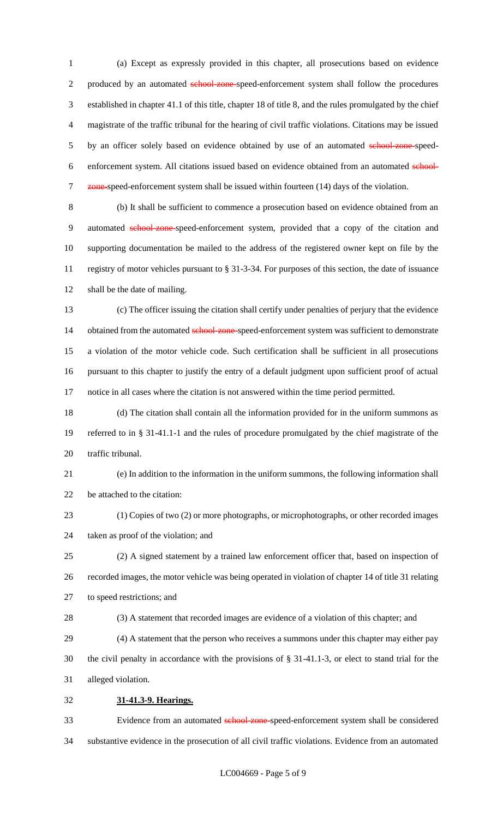(a) Except as expressly provided in this chapter, all prosecutions based on evidence 2 produced by an automated school-zone-speed-enforcement system shall follow the procedures established in chapter 41.1 of this title, chapter 18 of title 8, and the rules promulgated by the chief magistrate of the traffic tribunal for the hearing of civil traffic violations. Citations may be issued 5 by an officer solely based on evidence obtained by use of an automated school-zone-speed-6 enforcement system. All citations issued based on evidence obtained from an automated school-7 zone-speed-enforcement system shall be issued within fourteen (14) days of the violation.

 (b) It shall be sufficient to commence a prosecution based on evidence obtained from an automated school-zone-speed-enforcement system, provided that a copy of the citation and supporting documentation be mailed to the address of the registered owner kept on file by the registry of motor vehicles pursuant to § 31-3-34. For purposes of this section, the date of issuance shall be the date of mailing.

 (c) The officer issuing the citation shall certify under penalties of perjury that the evidence 14 obtained from the automated school-zone-speed-enforcement system was sufficient to demonstrate a violation of the motor vehicle code. Such certification shall be sufficient in all prosecutions pursuant to this chapter to justify the entry of a default judgment upon sufficient proof of actual notice in all cases where the citation is not answered within the time period permitted.

 (d) The citation shall contain all the information provided for in the uniform summons as referred to in § 31-41.1-1 and the rules of procedure promulgated by the chief magistrate of the traffic tribunal.

 (e) In addition to the information in the uniform summons, the following information shall be attached to the citation:

 (1) Copies of two (2) or more photographs, or microphotographs, or other recorded images taken as proof of the violation; and

 (2) A signed statement by a trained law enforcement officer that, based on inspection of recorded images, the motor vehicle was being operated in violation of chapter 14 of title 31 relating to speed restrictions; and

(3) A statement that recorded images are evidence of a violation of this chapter; and

 (4) A statement that the person who receives a summons under this chapter may either pay the civil penalty in accordance with the provisions of § 31-41.1-3, or elect to stand trial for the alleged violation.

**31-41.3-9. Hearings.**

33 Evidence from an automated school-zone-speed-enforcement system shall be considered substantive evidence in the prosecution of all civil traffic violations. Evidence from an automated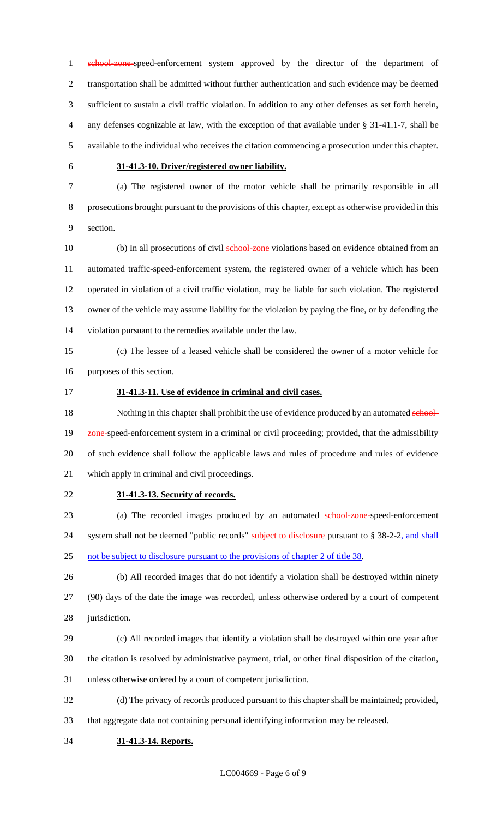1 school-zone-speed-enforcement system approved by the director of the department of transportation shall be admitted without further authentication and such evidence may be deemed sufficient to sustain a civil traffic violation. In addition to any other defenses as set forth herein, any defenses cognizable at law, with the exception of that available under § 31-41.1-7, shall be available to the individual who receives the citation commencing a prosecution under this chapter.

# **31-41.3-10. Driver/registered owner liability.**

 (a) The registered owner of the motor vehicle shall be primarily responsible in all prosecutions brought pursuant to the provisions of this chapter, except as otherwise provided in this section.

10 (b) In all prosecutions of civil school-zone violations based on evidence obtained from an automated traffic-speed-enforcement system, the registered owner of a vehicle which has been operated in violation of a civil traffic violation, may be liable for such violation. The registered owner of the vehicle may assume liability for the violation by paying the fine, or by defending the violation pursuant to the remedies available under the law.

 (c) The lessee of a leased vehicle shall be considered the owner of a motor vehicle for purposes of this section.

## **31-41.3-11. Use of evidence in criminal and civil cases.**

18 Nothing in this chapter shall prohibit the use of evidence produced by an automated school-19 zone-speed-enforcement system in a criminal or civil proceeding; provided, that the admissibility of such evidence shall follow the applicable laws and rules of procedure and rules of evidence which apply in criminal and civil proceedings.

**31-41.3-13. Security of records.**

23 (a) The recorded images produced by an automated school-zone-speed-enforcement 24 system shall not be deemed "public records" subject to disclosure pursuant to § 38-2-2, and shall not be subject to disclosure pursuant to the provisions of chapter 2 of title 38.

 (b) All recorded images that do not identify a violation shall be destroyed within ninety (90) days of the date the image was recorded, unless otherwise ordered by a court of competent jurisdiction.

 (c) All recorded images that identify a violation shall be destroyed within one year after the citation is resolved by administrative payment, trial, or other final disposition of the citation, unless otherwise ordered by a court of competent jurisdiction.

 (d) The privacy of records produced pursuant to this chapter shall be maintained; provided, that aggregate data not containing personal identifying information may be released.

**31-41.3-14. Reports.**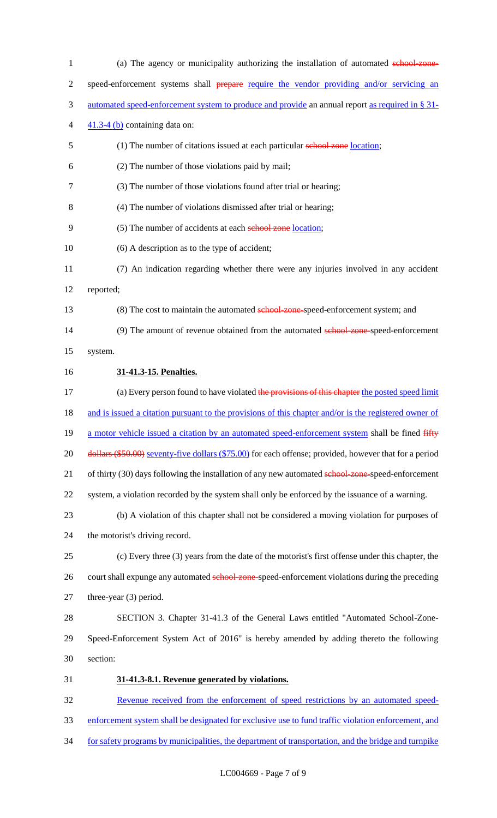| $\mathbf{1}$   | (a) The agency or municipality authorizing the installation of automated school zone-                  |
|----------------|--------------------------------------------------------------------------------------------------------|
| $\overline{2}$ | speed-enforcement systems shall prepare require the vendor providing and/or servicing an               |
| 3              | automated speed-enforcement system to produce and provide an annual report as required in § 31-        |
| 4              | $41.3-4$ (b) containing data on:                                                                       |
| 5              | (1) The number of citations issued at each particular school zone location;                            |
| 6              | (2) The number of those violations paid by mail;                                                       |
| 7              | (3) The number of those violations found after trial or hearing;                                       |
| 8              | (4) The number of violations dismissed after trial or hearing;                                         |
| 9              | (5) The number of accidents at each school zone location;                                              |
| 10             | (6) A description as to the type of accident;                                                          |
| 11             | (7) An indication regarding whether there were any injuries involved in any accident                   |
| 12             | reported;                                                                                              |
| 13             | (8) The cost to maintain the automated school-zone-speed-enforcement system; and                       |
| 14             | (9) The amount of revenue obtained from the automated school zone-speed-enforcement                    |
| 15             | system.                                                                                                |
| 16             | 31-41.3-15. Penalties.                                                                                 |
| 17             | (a) Every person found to have violated the provisions of this chapter the posted speed limit          |
| 18             | and is issued a citation pursuant to the provisions of this chapter and/or is the registered owner of  |
| 19             | a motor vehicle issued a citation by an automated speed-enforcement system shall be fined fifty        |
| 20             | dollars (\$50.00) seventy-five dollars (\$75.00) for each offense; provided, however that for a period |
| 21             | of thirty (30) days following the installation of any new automated school-zone-speed-enforcement      |
| 22             | system, a violation recorded by the system shall only be enforced by the issuance of a warning.        |
| 23             | (b) A violation of this chapter shall not be considered a moving violation for purposes of             |
| 24             | the motorist's driving record.                                                                         |
| 25             | (c) Every three (3) years from the date of the motorist's first offense under this chapter, the        |
| 26             | court shall expunge any automated school-zone-speed-enforcement violations during the preceding        |
| 27             | three-year $(3)$ period.                                                                               |
| 28             | SECTION 3. Chapter 31-41.3 of the General Laws entitled "Automated School-Zone-                        |
| 29             | Speed-Enforcement System Act of 2016" is hereby amended by adding thereto the following                |
| 30             | section:                                                                                               |
| 31             | 31-41.3-8.1. Revenue generated by violations.                                                          |
| 32             | Revenue received from the enforcement of speed restrictions by an automated speed-                     |
| 33             | enforcement system shall be designated for exclusive use to fund traffic violation enforcement, and    |
| 34             | for safety programs by municipalities, the department of transportation, and the bridge and turnpike   |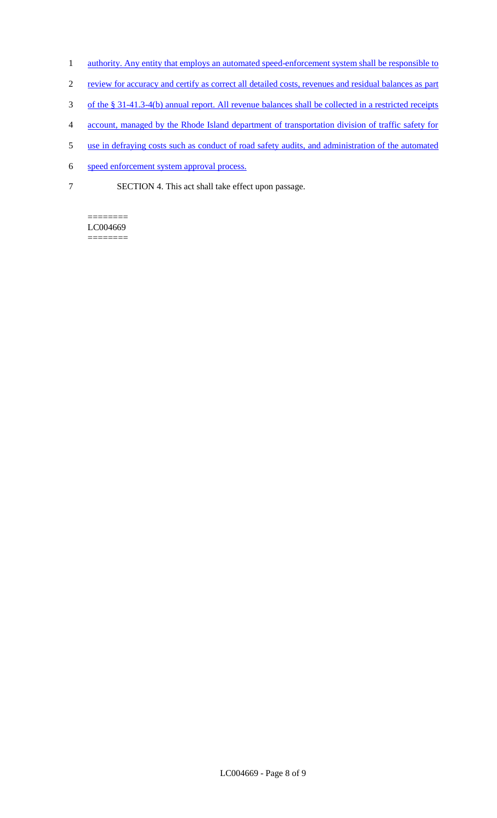- 1 authority. Any entity that employs an automated speed-enforcement system shall be responsible to
- 2 review for accuracy and certify as correct all detailed costs, revenues and residual balances as part
- 3 of the § 31-41.3-4(b) annual report. All revenue balances shall be collected in a restricted receipts
- 4 account, managed by the Rhode Island department of transportation division of traffic safety for
- 5 use in defraying costs such as conduct of road safety audits, and administration of the automated
- 6 speed enforcement system approval process.
- 7 SECTION 4. This act shall take effect upon passage.

======== LC004669 ========